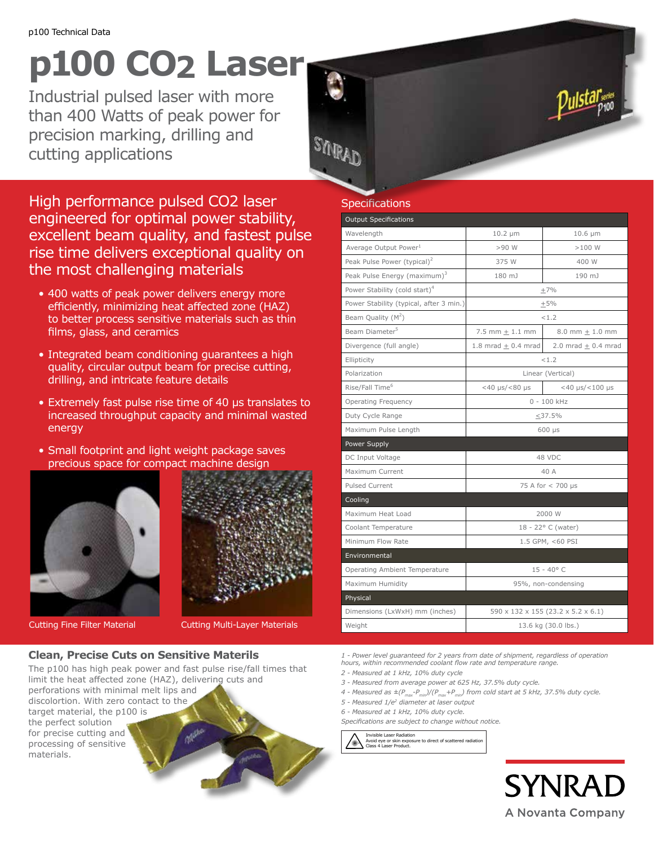# **p100 CO2 Laser**

Industrial pulsed laser with more than 400 Watts of peak power for precision marking, drilling and cutting applications

High performance pulsed CO2 laser engineered for optimal power stability, excellent beam quality, and fastest pulse rise time delivers exceptional quality on the most challenging materials

- 400 watts of peak power delivers energy more efficiently, minimizing heat affected zone (HAZ) to better process sensitive materials such as thin films, glass, and ceramics
- Integrated beam conditioning guarantees a high quality, circular output beam for precise cutting, drilling, and intricate feature details
- Extremely fast pulse rise time of 40 µs translates to increased throughput capacity and minimal wasted energy
- Small footprint and light weight package saves precious space for compact machine design





Cutting Fine Filter Material Cutting Multi-Layer Materials

# **Clean, Precise Cuts on Sensitive Materils**

The p100 has high peak power and fast pulse rise/fall times that limit the heat affected zone (HAZ), delivering cuts and perforations with minimal melt lips and discolortion. With zero contact to the target material, the p100 is the perfect solution for precise cutting and processing of sensitive materials.

# **Specifications**

SARAD

| <b>Output Specifications</b>              |                                    |                         |
|-------------------------------------------|------------------------------------|-------------------------|
| Wavelength                                | $10.2 \mu m$                       | $10.6 \mu m$            |
| Average Output Power <sup>1</sup>         | $>90$ W                            | >100 W                  |
| Peak Pulse Power (typical) <sup>2</sup>   | 375 W                              | 400 W                   |
| Peak Pulse Energy (maximum) <sup>3</sup>  | 180 mJ                             | 190 mJ                  |
| Power Stability (cold start) <sup>4</sup> | $+7%$                              |                         |
| Power Stability (typical, after 3 min.)   | $\pm$ 5%                           |                         |
| Beam Quality $(M^2)$                      | < 1.2                              |                         |
| Beam Diameter <sup>5</sup>                | $7.5$ mm $+1.1$ mm                 | 8.0 mm $\pm$ 1.0 mm     |
| Divergence (full angle)                   | $1.8$ mrad $+0.4$ mrad             | 2.0 mrad $\pm$ 0.4 mrad |
| Ellipticity                               | < 1.2                              |                         |
| Polarization                              | Linear (Vertical)                  |                         |
| Rise/Fall Time <sup>6</sup>               | $<$ 40 $\mu$ s/ $<$ 80 $\mu$ s     | $<$ 40 µs/ $<$ 100 µs   |
| <b>Operating Frequency</b>                | $0 - 100$ kHz                      |                         |
| Duty Cycle Range                          | $<$ 37.5%                          |                         |
| Maximum Pulse Length                      | $600$ $\mu s$                      |                         |
| Power Supply                              |                                    |                         |
| DC Input Voltage                          | 48 VDC                             |                         |
| Maximum Current                           | 40 A                               |                         |
| Pulsed Current                            | 75 A for < 700 µs                  |                         |
| Cooling                                   |                                    |                         |
| Maximum Heat Load                         | 2000 W                             |                         |
| Coolant Temperature                       | 18 - 22° C (water)                 |                         |
| Minimum Flow Rate                         | 1.5 GPM, <60 PSI                   |                         |
| Environmental                             |                                    |                         |
| Operating Ambient Temperature             | $15 - 40^{\circ}$ C                |                         |
| Maximum Humidity                          | 95%, non-condensing                |                         |
| Physical                                  |                                    |                         |
| Dimensions (LxWxH) mm (inches)            | 590 x 132 x 155 (23.2 x 5.2 x 6.1) |                         |
| Weight                                    | 13.6 kg (30.0 lbs.)                |                         |

*1 - Power level guaranteed for 2 years from date of shipment, regardless of operation hours, within recommended coolant flow rate and temperature range.*

*2 - Measured at 1 kHz, 10% duty cycle*

- *3 Measured from average power at 625 Hz, 37.5% duty cycle.*
- *4 Measured as ±(Pmax-Pmin)/(Pmax+Pmin) from cold start at 5 kHz, 37.5% duty cycle.*
- *5 Measured 1/e2 diameter at laser output*
- *6 Measured at 1 kHz, 10% duty cycle.*
- *Specifications are subject to change without notice.*